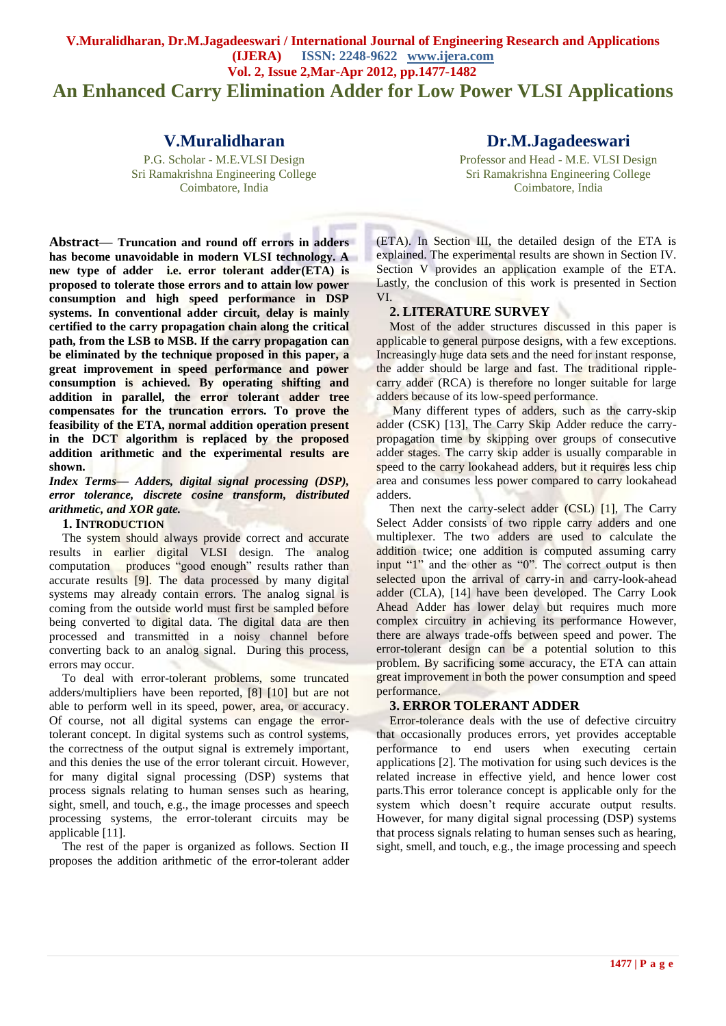# **V.Muralidharan, Dr.M.Jagadeeswari / International Journal of Engineering Research and Applications (IJERA) ISSN: 2248-9622 www.ijera.com Vol. 2, Issue 2,Mar-Apr 2012, pp.1477-1482 An Enhanced Carry Elimination Adder for Low Power VLSI Applications**

# **V.Muralidharan**

P.G. Scholar - M.E.VLSI Design Sri Ramakrishna Engineering College Coimbatore, India

**Dr.M.Jagadeeswari**

Professor and Head - M.E. VLSI Design Sri Ramakrishna Engineering College Coimbatore, India

**Abstract— Truncation and round off errors in adders has become unavoidable in modern VLSI technology. A new type of adder i.e. error tolerant adder(ETA) is proposed to tolerate those errors and to attain low power consumption and high speed performance in DSP systems. In conventional adder circuit, delay is mainly certified to the carry propagation chain along the critical path, from the LSB to MSB. If the carry propagation can be eliminated by the technique proposed in this paper, a great improvement in speed performance and power consumption is achieved. By operating shifting and addition in parallel, the error tolerant adder tree compensates for the truncation errors. To prove the feasibility of the ETA, normal addition operation present in the DCT algorithm is replaced by the proposed addition arithmetic and the experimental results are shown.** 

*Index Terms— Adders, digital signal processing (DSP), error tolerance, discrete cosine transform, distributed arithmetic, and XOR gate.*

## **1. INTRODUCTION**

The system should always provide correct and accurate results in earlier digital VLSI design. The analog computation produces "good enough" results rather than accurate results [9]. The data processed by many digital systems may already contain errors. The analog signal is coming from the outside world must first be sampled before being converted to digital data. The digital data are then processed and transmitted in a noisy channel before converting back to an analog signal. During this process, errors may occur.

To deal with error-tolerant problems, some truncated adders/multipliers have been reported, [8] [10] but are not able to perform well in its speed, power, area, or accuracy. Of course, not all digital systems can engage the errortolerant concept. In digital systems such as control systems, the correctness of the output signal is extremely important, and this denies the use of the error tolerant circuit. However, for many digital signal processing (DSP) systems that process signals relating to human senses such as hearing, sight, smell, and touch, e.g., the image processes and speech processing systems, the error-tolerant circuits may be applicable [11].

The rest of the paper is organized as follows. Section II proposes the addition arithmetic of the error-tolerant adder (ETA). In Section III, the detailed design of the ETA is explained. The experimental results are shown in Section IV. Section V provides an application example of the ETA. Lastly, the conclusion of this work is presented in Section VI.

# **2. LITERATURE SURVEY**

Most of the adder structures discussed in this paper is applicable to general purpose designs, with a few exceptions. Increasingly huge data sets and the need for instant response, the adder should be large and fast. The traditional ripplecarry adder (RCA) is therefore no longer suitable for large adders because of its low-speed performance.

Many different types of adders, such as the carry-skip adder (CSK) [13], The Carry Skip Adder reduce the carrypropagation time by skipping over groups of consecutive adder stages. The carry skip adder is usually comparable in speed to the carry lookahead adders, but it requires less chip area and consumes less power compared to carry lookahead adders.

Then next the carry-select adder (CSL) [1], The Carry Select Adder consists of two ripple carry adders and one multiplexer. The two adders are used to calculate the addition twice; one addition is computed assuming carry input "1" and the other as "0". The correct output is then selected upon the arrival of carry-in and carry-look-ahead adder (CLA), [14] have been developed. The Carry Look Ahead Adder has lower delay but requires much more complex circuitry in achieving its performance However, there are always trade-offs between speed and power. The error-tolerant design can be a potential solution to this problem. By sacrificing some accuracy, the ETA can attain great improvement in both the power consumption and speed performance.

# **3. ERROR TOLERANT ADDER**

Error-tolerance deals with the use of defective circuitry that occasionally produces errors, yet provides acceptable performance to end users when executing certain applications [2]. The motivation for using such devices is the related increase in effective yield, and hence lower cost parts.This error tolerance concept is applicable only for the system which doesn"t require accurate output results. However, for many digital signal processing (DSP) systems that process signals relating to human senses such as hearing, sight, smell, and touch, e.g., the image processing and speech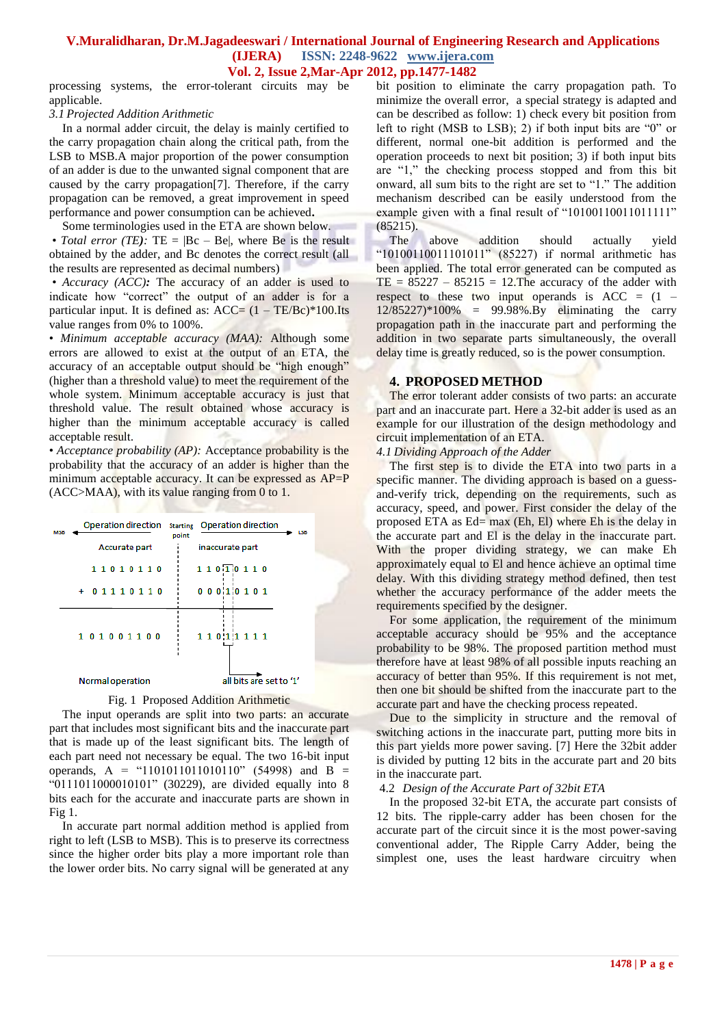# **V.Muralidharan, Dr.M.Jagadeeswari / International Journal of Engineering Research and Applications (IJERA) ISSN: 2248-9622 www.ijera.com**

**Vol. 2, Issue 2,Mar-Apr 2012, pp.1477-1482**

processing systems, the error-tolerant circuits may be applicable.

# *3.1 Projected Addition Arithmetic*

In a normal adder circuit, the delay is mainly certified to the carry propagation chain along the critical path, from the LSB to MSB.A major proportion of the power consumption of an adder is due to the unwanted signal component that are caused by the carry propagation[7]. Therefore, if the carry propagation can be removed, a great improvement in speed performance and power consumption can be achieved**.**

Some terminologies used in the ETA are shown below. • *Total error (TE):*  $TE = |BC - Be|$ , where Be is the result obtained by the adder, and Bc denotes the correct result (all the results are represented as decimal numbers)

• *Accuracy (ACC):* The accuracy of an adder is used to indicate how "correct" the output of an adder is for a particular input. It is defined as:  $ACC = (1 - TE/BC)*100$ .Its value ranges from 0% to 100%.

• *Minimum acceptable accuracy (MAA):* Although some errors are allowed to exist at the output of an ETA, the accuracy of an acceptable output should be "high enough" (higher than a threshold value) to meet the requirement of the whole system. Minimum acceptable accuracy is just that threshold value. The result obtained whose accuracy is higher than the minimum acceptable accuracy is called acceptable result.

• *Acceptance probability (AP)*: Acceptance probability is the probability that the accuracy of an adder is higher than the minimum acceptable accuracy. It can be expressed as AP=P (ACC>MAA), with its value ranging from 0 to 1.

| <b>MSB</b> |                  | Operation direction starting Operation direction<br><b>LSB</b><br>point |  |
|------------|------------------|-------------------------------------------------------------------------|--|
|            | Accurate part    | inaccurate part                                                         |  |
|            | 11010110         | 1 1 0 1 0 1 1 0                                                         |  |
|            | + 01110110       | 000110101                                                               |  |
|            | 101001100        | 1 1 0 1 1 1 1 1 1                                                       |  |
|            | Normal operation | all bits are set to '1'                                                 |  |

Fig. 1 Proposed Addition Arithmetic

The input operands are split into two parts: an accurate part that includes most significant bits and the inaccurate part that is made up of the least significant bits. The length of each part need not necessary be equal. The two 16-bit input operands, A = "1101011011010110" (54998) and B = "0111011000010101" (30229), are divided equally into 8 bits each for the accurate and inaccurate parts are shown in Fig 1.

In accurate part normal addition method is applied from right to left (LSB to MSB). This is to preserve its correctness since the higher order bits play a more important role than the lower order bits. No carry signal will be generated at any

bit position to eliminate the carry propagation path. To minimize the overall error, a special strategy is adapted and can be described as follow: 1) check every bit position from left to right (MSB to LSB); 2) if both input bits are "0" or different, normal one-bit addition is performed and the operation proceeds to next bit position; 3) if both input bits are "1," the checking process stopped and from this bit onward, all sum bits to the right are set to "1." The addition mechanism described can be easily understood from the example given with a final result of "10100110011011111" (85215).

The above addition should actually yield "10100110011101011" (85227) if normal arithmetic has been applied. The total error generated can be computed as  $TE = 85227 - 85215 = 12$ . The accuracy of the adder with respect to these two input operands is  $ACC = (1 -$ 12/85227)\*100% = 99.98%.By eliminating the carry propagation path in the inaccurate part and performing the addition in two separate parts simultaneously, the overall delay time is greatly reduced, so is the power consumption.

# **4. PROPOSED METHOD**

The error tolerant adder consists of two parts: an accurate part and an inaccurate part. Here a 32-bit adder is used as an example for our illustration of the design methodology and circuit implementation of an ETA.

*4.1 Dividing Approach of the Adder*

The first step is to divide the ETA into two parts in a specific manner. The dividing approach is based on a guessand-verify trick, depending on the requirements, such as accuracy, speed, and power. First consider the delay of the proposed ETA as Ed= max (Eh, El) where Eh is the delay in the accurate part and El is the delay in the inaccurate part. With the proper dividing strategy, we can make Eh approximately equal to El and hence achieve an optimal time delay. With this dividing strategy method defined, then test whether the accuracy performance of the adder meets the requirements specified by the designer.

For some application, the requirement of the minimum acceptable accuracy should be 95% and the acceptance probability to be 98%. The proposed partition method must therefore have at least 98% of all possible inputs reaching an accuracy of better than 95%. If this requirement is not met, then one bit should be shifted from the inaccurate part to the accurate part and have the checking process repeated.

Due to the simplicity in structure and the removal of switching actions in the inaccurate part, putting more bits in this part yields more power saving. [7] Here the 32bit adder is divided by putting 12 bits in the accurate part and 20 bits in the inaccurate part.

### 4.2 *Design of the Accurate Part of 32bit ETA*

In the proposed 32-bit ETA, the accurate part consists of 12 bits. The ripple-carry adder has been chosen for the accurate part of the circuit since it is the most power-saving conventional adder, The Ripple Carry Adder, being the simplest one, uses the least hardware circuitry when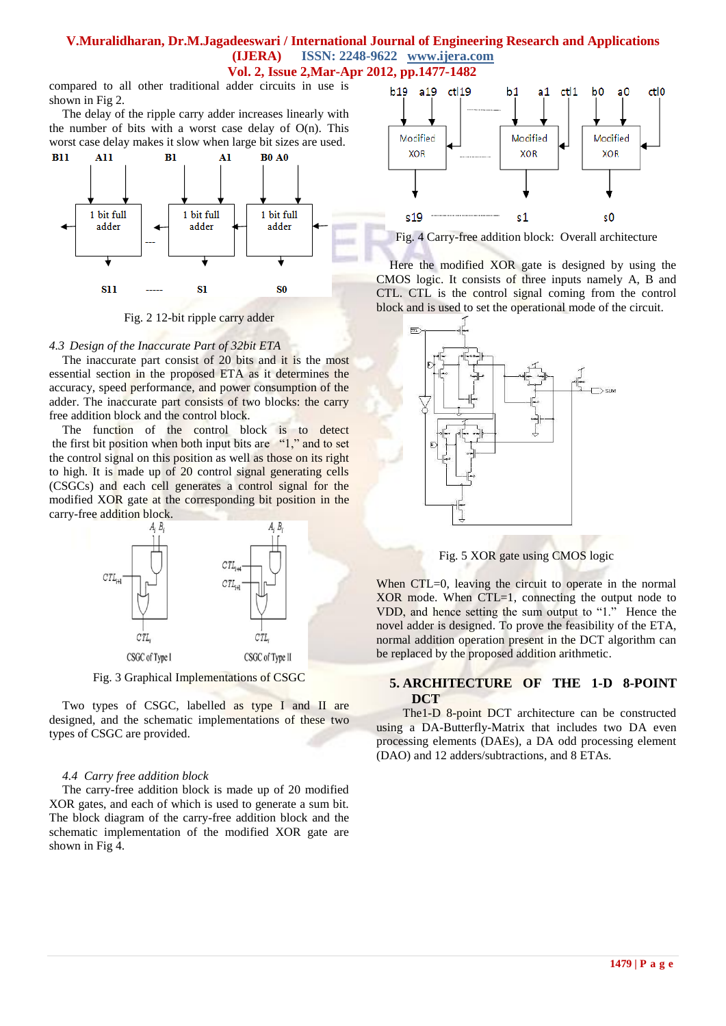### **V.Muralidharan, Dr.M.Jagadeeswari / International Journal of Engineering Research and Applications (IJERA) ISSN: 2248-9622 www.ijera.com Vol. 2, Issue 2,Mar-Apr 2012, pp.1477-1482**

compared to all other traditional adder circuits in use is shown in Fig 2.

The delay of the ripple carry adder increases linearly with the number of bits with a worst case delay of  $O(n)$ . This worst case delay makes it slow when large bit sizes are used.



Fig. 2 12-bit ripple carry adder

#### *4.3 Design of the Inaccurate Part of 32bit ETA*

The inaccurate part consist of 20 bits and it is the most essential section in the proposed ETA as it determines the accuracy, speed performance, and power consumption of the adder. The inaccurate part consists of two blocks: the carry free addition block and the control block.

The function of the control block is to detect the first bit position when both input bits are "1," and to set the control signal on this position as well as those on its right to high. It is made up of 20 control signal generating cells (CSGCs) and each cell generates a control signal for the modified XOR gate at the corresponding bit position in the carry-free addition block.



Fig. 3 Graphical Implementations of CSGC

Two types of CSGC, labelled as type I and II are designed, and the schematic implementations of these two types of CSGC are provided.

#### *4.4 Carry free addition block*

The carry-free addition block is made up of 20 modified XOR gates, and each of which is used to generate a sum bit. The block diagram of the carry-free addition block and the schematic implementation of the modified XOR gate are shown in Fig 4.



Fig. 4 Carry-free addition block: Overall architecture

Here the modified XOR gate is designed by using the CMOS logic. It consists of three inputs namely A, B and CTL. CTL is the control signal coming from the control block and is used to set the operational mode of the circuit.



Fig. 5 XOR gate using CMOS logic

When CTL=0, leaving the circuit to operate in the normal  $XOR$  mode. When  $CTL=1$ , connecting the output node to VDD, and hence setting the sum output to "1." Hence the novel adder is designed. To prove the feasibility of the ETA, normal addition operation present in the DCT algorithm can be replaced by the proposed addition arithmetic.

### **5. ARCHITECTURE OF THE 1-D 8-POINT DCT**

The1-D 8-point DCT architecture can be constructed using a DA-Butterfly-Matrix that includes two DA even processing elements (DAEs), a DA odd processing element (DAO) and 12 adders/subtractions, and 8 ETAs.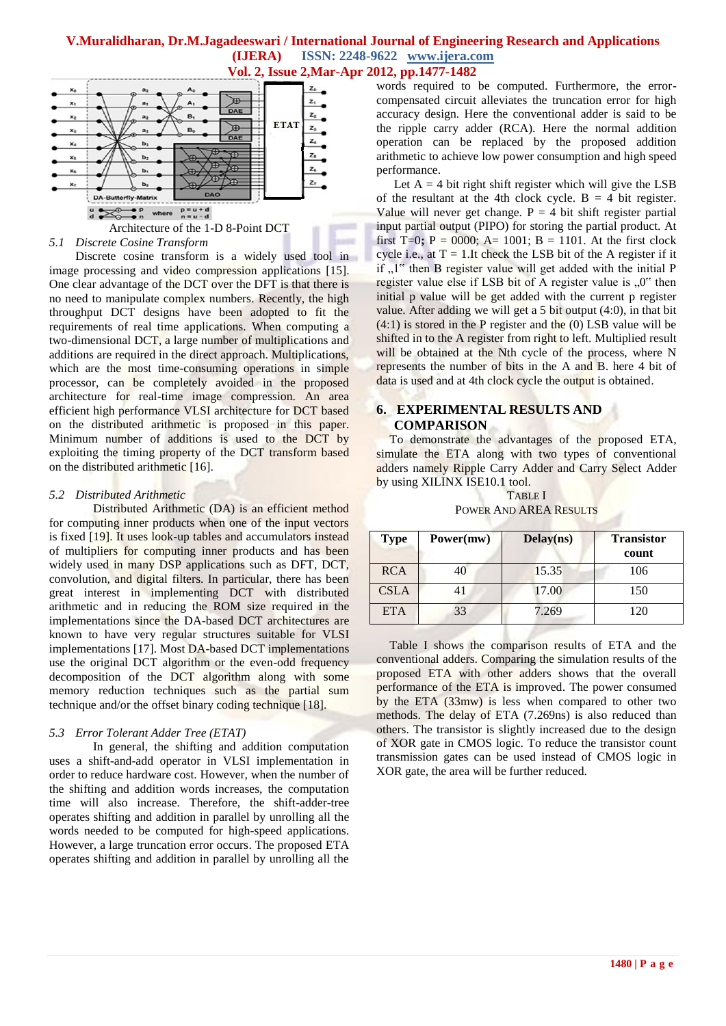

# Architecture of the 1-D 8-Point DCT

### *5.1 Discrete Cosine Transform*

Discrete cosine transform is a widely used tool in image processing and video compression applications [15]. One clear advantage of the DCT over the DFT is that there is no need to manipulate complex numbers. Recently, the high throughput DCT designs have been adopted to fit the requirements of real time applications. When computing a two-dimensional DCT, a large number of multiplications and additions are required in the direct approach. Multiplications, which are the most time-consuming operations in simple processor, can be completely avoided in the proposed architecture for real-time image compression. An area efficient high performance VLSI architecture for DCT based on the distributed arithmetic is proposed in this paper. Minimum number of additions is used to the DCT by exploiting the timing property of the DCT transform based on the distributed arithmetic [16].

#### *5.2 Distributed Arithmetic*

Distributed Arithmetic (DA) is an efficient method for computing inner products when one of the input vectors is fixed [19]. It uses look-up tables and accumulators instead of multipliers for computing inner products and has been widely used in many DSP applications such as DFT, DCT, convolution, and digital filters. In particular, there has been great interest in implementing DCT with distributed arithmetic and in reducing the ROM size required in the implementations since the DA-based DCT architectures are known to have very regular structures suitable for VLSI implementations [17]. Most DA-based DCT implementations use the original DCT algorithm or the even-odd frequency decomposition of the DCT algorithm along with some memory reduction techniques such as the partial sum technique and/or the offset binary coding technique [18].

### *5.3 Error Tolerant Adder Tree (ETAT)*

In general, the shifting and addition computation uses a shift-and-add operator in VLSI implementation in order to reduce hardware cost. However, when the number of the shifting and addition words increases, the computation time will also increase. Therefore, the shift-adder-tree operates shifting and addition in parallel by unrolling all the words needed to be computed for high-speed applications. However, a large truncation error occurs. The proposed ETA operates shifting and addition in parallel by unrolling all the

words required to be computed. Furthermore, the errorcompensated circuit alleviates the truncation error for high accuracy design. Here the conventional adder is said to be the ripple carry adder (RCA). Here the normal addition operation can be replaced by the proposed addition arithmetic to achieve low power consumption and high speed performance.

Let  $A = 4$  bit right shift register which will give the LSB of the resultant at the 4th clock cycle.  $B = 4$  bit register. Value will never get change.  $P = 4$  bit shift register partial input partial output (PIPO) for storing the partial product. At first  $T=0$ ;  $P = 0000$ ;  $A= 1001$ ;  $B = 1101$ . At the first clock cycle i.e., at  $T = 1$ . It check the LSB bit of the A register if it if  $\mu$ <sup>1"</sup> then B register value will get added with the initial P register value else if LSB bit of  $\overline{A}$  register value is  $\overline{A}$  or then initial p value will be get added with the current p register value. After adding we will get a 5 bit output (4:0), in that bit (4:1) is stored in the P register and the (0) LSB value will be shifted in to the A register from right to left. Multiplied result will be obtained at the Nth cycle of the process, where N represents the number of bits in the A and B. here 4 bit of data is used and at 4th clock cycle the output is obtained.

### **6. EXPERIMENTAL RESULTS AND COMPARISON**

To demonstrate the advantages of the proposed ETA, simulate the ETA along with two types of conventional adders namely Ripple Carry Adder and Carry Select Adder by using XILINX ISE10.1 tool.

TABLE I POWER AND AREA RESULTS

| <b>Type</b> | Power(mw) | Delay(ns) | <b>Transistor</b><br>count |
|-------------|-----------|-----------|----------------------------|
| <b>RCA</b>  | 40        | 15.35     | 106                        |
| <b>CSLA</b> |           | 17.00     | 150                        |
| <b>ETA</b>  | 33        | 7.269     | 120                        |

Table I shows the comparison results of ETA and the conventional adders. Comparing the simulation results of the proposed ETA with other adders shows that the overall performance of the ETA is improved. The power consumed by the ETA (33mw) is less when compared to other two methods. The delay of ETA (7.269ns) is also reduced than others. The transistor is slightly increased due to the design of XOR gate in CMOS logic. To reduce the transistor count transmission gates can be used instead of CMOS logic in XOR gate, the area will be further reduced.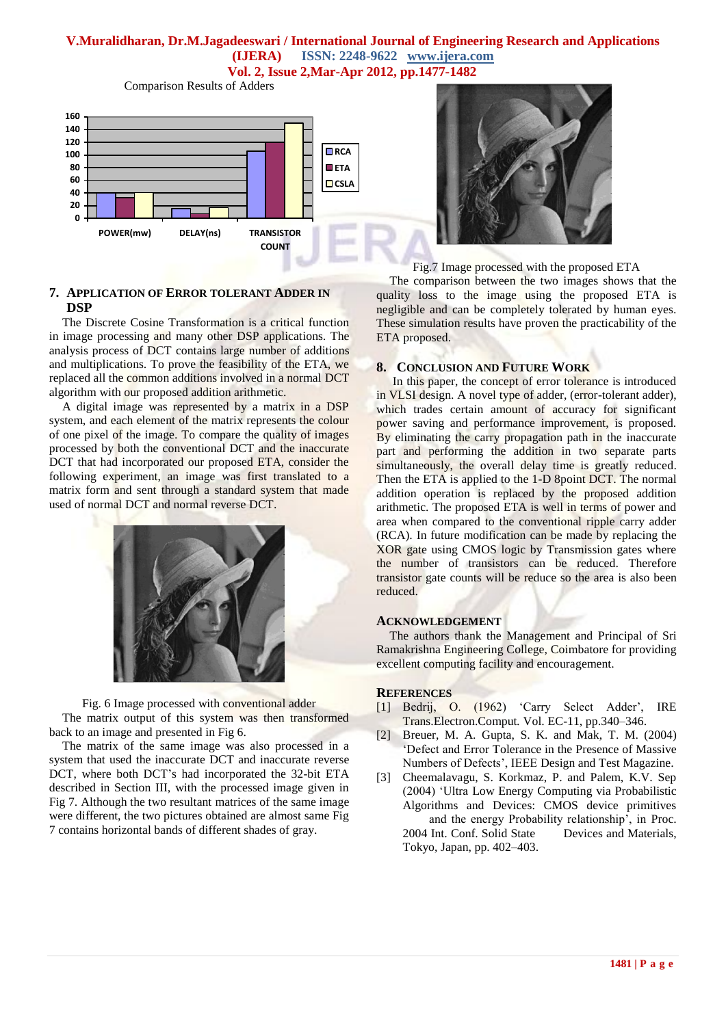## **V.Muralidharan, Dr.M.Jagadeeswari / International Journal of Engineering Research and Applications (IJERA) ISSN: 2248-9622 www.ijera.com Vol. 2, Issue 2,Mar-Apr 2012, pp.1477-1482**

Comparison Results of Adders



# **7. APPLICATION OF ERROR TOLERANT ADDER IN DSP**

The Discrete Cosine Transformation is a critical function in image processing and many other DSP applications. The analysis process of DCT contains large number of additions and multiplications. To prove the feasibility of the ETA, we replaced all the common additions involved in a normal DCT algorithm with our proposed addition arithmetic.

A digital image was represented by a matrix in a DSP system, and each element of the matrix represents the colour of one pixel of the image. To compare the quality of images processed by both the conventional DCT and the inaccurate DCT that had incorporated our proposed ETA, consider the following experiment, an image was first translated to a matrix form and sent through a standard system that made used of normal DCT and normal reverse DCT.



Fig. 6 Image processed with conventional adder The matrix output of this system was then transformed back to an image and presented in Fig 6.

The matrix of the same image was also processed in a system that used the inaccurate DCT and inaccurate reverse DCT, where both DCT"s had incorporated the 32-bit ETA described in Section III, with the processed image given in Fig 7. Although the two resultant matrices of the same image were different, the two pictures obtained are almost same Fig 7 contains horizontal bands of different shades of gray.



Fig.7 Image processed with the proposed ETA

The comparison between the two images shows that the quality loss to the image using the proposed ETA is negligible and can be completely tolerated by human eyes. These simulation results have proven the practicability of the ETA proposed.

## **8. CONCLUSION AND FUTURE WORK**

In this paper, the concept of error tolerance is introduced in VLSI design. A novel type of adder, (error-tolerant adder), which trades certain amount of accuracy for significant power saving and performance improvement, is proposed. By eliminating the carry propagation path in the inaccurate part and performing the addition in two separate parts simultaneously, the overall delay time is greatly reduced. Then the ETA is applied to the 1-D 8point DCT. The normal addition operation is replaced by the proposed addition arithmetic. The proposed ETA is well in terms of power and area when compared to the conventional ripple carry adder (RCA). In future modification can be made by replacing the XOR gate using CMOS logic by Transmission gates where the number of transistors can be reduced. Therefore transistor gate counts will be reduce so the area is also been reduced.

### **ACKNOWLEDGEMENT**

The authors thank the Management and Principal of Sri Ramakrishna Engineering College, Coimbatore for providing excellent computing facility and encouragement.

### **REFERENCES**

- [1] Bedrij, O. (1962) 'Carry Select Adder', IRE Trans.Electron.Comput*.* Vol. EC-11, pp.340–346.
- [2] Breuer, M. A. Gupta, S. K. and Mak, T. M. (2004) "Defect and Error Tolerance in the Presence of Massive Numbers of Defects", IEEE Design and Test Magazine.
- [3] Cheemalavagu, S. Korkmaz, P. and Palem, K.V. Sep (2004) "Ultra Low Energy Computing via Probabilistic Algorithms and Devices: CMOS device primitives and the energy Probability relationship", in Proc. 2004 Int. Conf. Solid State Devices and Materials, Tokyo, Japan, pp. 402–403.